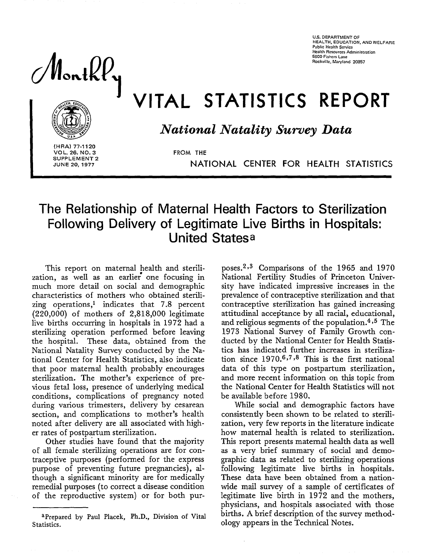**U.S. DEPARTMENT OF HEALTH, EDUCATION, ANO WELFARE Pubhc Health Service Health Resources Administration 5600 Fishers Lane Rockville, Maryland 20857** 

 $\textcolor{red}{\textsf{Mottky}}$ 



VITAL STATISTICS REPORT

*National Natality Survey Data* 

**(HRA) 77-1120 VOL. 26. NO. 3 SUPPLEMENT 2 JUNE 20, 1977** 

**FROM THE** 

NATIONAL CENTER FOR HEALTH STATISTICS

# **The Relationship of Maternal Health Factors to Sterilization Following Delivery of Legitimate Live Births in Hospitals: United Statesa**

This report on maternal health and sterili-<br>zation, as well as an earlier one focusing in much more detail on social and demographic characteristics of mothers who obtained sterilizing operations,<sup>1</sup> indicates that 7.8 percent (220,000) of mothers of 2,818,000 legitimate live births occurring in hospitals in 1972 had a sterilizing operation performed before leaving the hospital. These data, obtained from the National Natality Survey conducted by the National Center for Health Statistics, also indicate that poor maternal health probably encourages sterilization. The mother's experience of previous fetal loss, presence of underlying medical conditions, complications of pregnancy noted during various trimesters, delivery by cesarean section, and complications to mother's health noted after delivery are all associated with higher rates of postpartum sterilization.

> Other studies have found that the majority of all female sterilizing operations are for contraceptive purposes (performed for the express purpose of preventing future pregnancies), although a significant minority are for medically remedial purposes (to correct a disease condition of the reproductive system) or for both pur-

> aPrepared by Paul Placek, Ph.D., Division of Vital Statistics.

poses.<sup>2,3</sup> Comparisons of the 1965 and 1970 National Fertility Studies of Princeton University have indicated impressive increases in the prevalence of contraceptive sterilization and that contraceptive sterilization has gained increasing attitudinal acceptance by all racial, educational, and religious segments of the population. $4,5$  The 1973 National Survey of Family Growth conducted by the National Center for Health Statistics has indicated further increases in sterilization since  $1970.6,7,8$  This is the first national data of this type on postpartum sterilization, and more recent information on this topic from the National Center for Health Statistics will not be available before 1980.

While social and demographic factors have consistently been shown to be reIated to sterilization, very few reports in the literature indicate how maternal health is reIated to sterilization. This report presents maternal health data as well as a very brief summary of social and demographic data as related to sterilizing operations following legitimate live births in hospitals. These data have been obtained from a nationwide mail survey of a sample of certificates of Legitimate live birth in 1972 and the mothers, physicians, and hospitals associated with those births. A brief description of the survey methodology appears in the Technical Notes.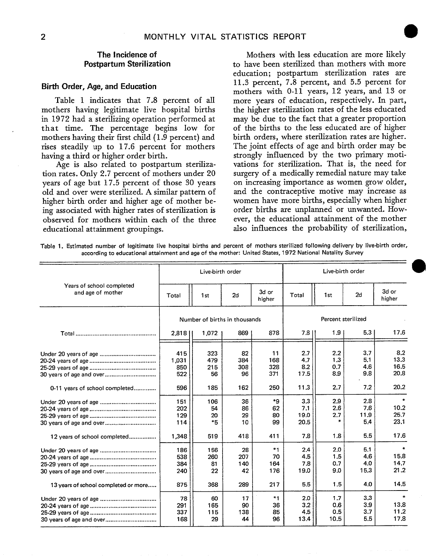mothers having legitimate live hospital births the higher sterilization rates of the less educated<br>in 1972 had a sterilizing operation performed at may be due to the fact that a greater proportion in 1972 had a sterilizing operation performed at may be due to the fact that a greater proportion<br>that time. The percentage begins low for of the births to the less educated are of higher that time. The percentage begins low for of the births to the less educated are of higher mothers having their first child (1.9 percent) and birth orders, where sterilization rates are higher. mothers having their first child (1.9 percent) and birth orders, where sterilization rates are higher.<br>rises steadily up to 17.6 percent for mothers The joint effects of age and birth order may be rises steadily up to 17.6 percent for mothers having a third or higher order birth.

tion rates. Only 2.7 percent of mothers under 20 surgery of a medically remedial nature may take<br>vears of age but 17.5 percent of those 30 years on increasing importance as women grow older, years of age but 17.5 percent of those 30 years on increasing importance as women grow older, old and over were sterilized. A similar pattern of and the contraceptive motive may increase as old and over were sterilized. A similar pattern of and the contraceptive motive may increase as<br>higher birth order and higher age of mother be-<br>women have more births, especially when higher higher birth order and higher age of mother be-<br>ing associated with higher rates of sterilization is order births are unplanned or unwanted. Howing associated with higher rates of sterilization is order births are unplanned or unwanted. How-<br>observed for mothers within each of the three ever, the educational attainment of the mother observed for mothers within each of the three educational attainment groupings. The also influences the probability of sterilization,

**The Incidence of 1988 Mothers with less education are more likely<br>Postpartum Sterilization** to have been sterilized than mothers with more to have been sterilized than mothers with more education; postpartum sterilization rates are<br>11.3 percent, 7.8 percent, and 5.5 percent for **Birth Order, Age, and Education** 11.3 percent, 7.8 percent, and 5.5 percent for mothers with 0-11 years, 12 years, and 13 or Table 1 indicates that 7.8 percent of all more years of education, respectively. In part, thers having legitimate live hospital births the higher sterilization rates of the less educated strongly influenced by the two primary motivations for sterilization. That is, the need for Age is also related to postpartum steriliza-<br>Age is also related to postpartum steriliza-<br>a vations for sterilization. That is, the need for  $\frac{1}{2}$  and  $\frac{1}{2}$  and  $\frac{1}{2}$  and  $\frac{1}{2}$  and  $\frac{1}{2}$  and  $\frac{1}{2}$ 

**Table 1. Estimated number of legitimate live hospital births and percent of mothers sterilized following delivery by live-birth order, according to educational attainment and age of the mother: United States, 1972 National Natality Survey** 

|                                                |                            | Live-birth order              |                        |                          |                            |                           | Live-birth order          |                                   |  |  |
|------------------------------------------------|----------------------------|-------------------------------|------------------------|--------------------------|----------------------------|---------------------------|---------------------------|-----------------------------------|--|--|
| Years of school completed<br>and age of mother | Total                      | 1st                           | 2d                     | 3d or<br>higher          | Total                      | 1st                       | 2d                        | 3d or<br>higher                   |  |  |
|                                                |                            | Number of births in thousands |                        |                          |                            | Percent sterilized        |                           |                                   |  |  |
|                                                | 2.8181                     | 1,072                         | 869                    | 878                      | 7.8                        | 1.9                       | 5.3                       | 17.6                              |  |  |
| 30 years of age and over                       | 415<br>1,031<br>850<br>522 | 323<br>479<br>215<br>56       | 82<br>384<br>308<br>96 | 11<br>168<br>328<br>371  | 2.7<br>4.7<br>8.2<br>17.5  | 2.2<br>1.3<br>0.7<br>8.9  | 3.7<br>5.1<br>4.6<br>9.8  | 8.2<br>13.3<br>16.5<br>20.8       |  |  |
| 0-11 years of school completed                 | 596                        | 185                           | 162                    | 250                      | 11.3                       | 2.7                       | 7.2                       | 20.2                              |  |  |
|                                                | 151<br>202<br>129<br>114   | 106<br>54<br>20<br>$*5$       | 36<br>86<br>29<br>10   | $*9$<br>62<br>80<br>99   | 3.3<br>7.1<br>19.0<br>20.5 | 2.9<br>2.6<br>2.7         | 2.8<br>7.6<br>11.9<br>5.4 | $\star$<br>10.2<br>25.7<br>23.1   |  |  |
| 12 years of school completed                   | 1.348                      | 519                           | 418                    | 411                      | 7.8                        | 1.8                       | 5.5                       | 17.6                              |  |  |
|                                                | 186<br>538<br>384<br>240   | 156<br>260<br>81<br>22        | 28<br>207<br>140<br>42 | $*1$<br>70<br>164<br>176 | 2.4<br>4.5<br>7.8<br>19.0  | 2.0<br>1.5<br>0.7<br>9.0  | 5.1<br>4.6<br>4.0<br>15.3 | $\bullet$<br>15.8<br>14.7<br>21.2 |  |  |
| 13 years of school completed or more           | 875                        | 368                           | 289                    | 217                      | 5.5                        | 1.5                       | 4.0                       | 14.5                              |  |  |
| 30 years of age and over                       | 78<br>291<br>337<br>168    | 60<br>165<br>115<br>29        | 17<br>90<br>138<br>44  | $*1$<br>36<br>85<br>96   | 2.0<br>3,2<br>4.5<br>13.4  | 1.7<br>0.6<br>0.5<br>10.5 | 3.3<br>3.9<br>3.7<br>5.5  | $\star$<br>13.8<br>11.2<br>17.8   |  |  |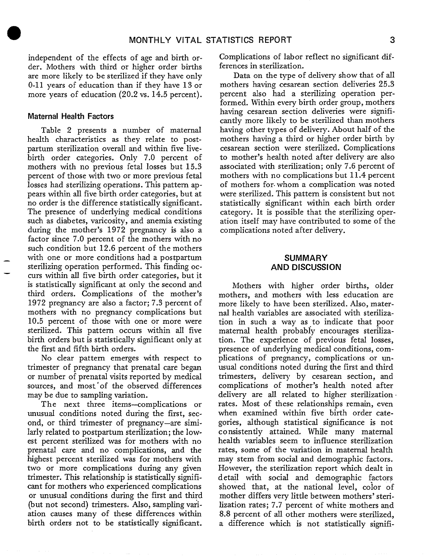independent of the effects of age and birth order. Mothers with third or higher order births are more likely to be sterilized if they have only 0-11 years of education than if they have 13 or more years of education (20.2 vs. 14.5 percent).

#### **Maternal Health Factors**

Table 2 presents a number of maternal health characteristics as they relate to postpartum sterilization overall and within five livebirth order categories. Only 7.0 percent of mothers with no previous fetal losses but 15.3 percent of those with two or more previous fetal losses had sterilizing operations. This pattern appears within all five birth order categories, but at no order is the difference statistically significant. The presence of underlying medical conditions such as diabetes, varicosity, and anemia existing during the mother's 1972 pregnancy is also a factor since 7.0 percent of the mothers with no such condition but 12.6 percent of the mothers with one or more conditions had a postpartum sterilizing operation performed. This finding oc — curs within all five birth order categories, but it is statistically significant at only the second and third orders. Complications of the mother's 1972 pregnancy are also a factor;  $7.3$  percent of mothers with no pregnancy complications but 10.5 percent of those with one or more were sterilized. This pattern occurs within all five birth orders but is statistically significant onIy at the first and fifth birth orders.

No clear pattern emerges with respect to trimester of pregnancy that prenatal care began or number of prenatal visits reported by medical sources, and most of the observed differences may be due to sampling variation.

The next three items–complications or unusuaI conditions noted during the first, second, or third trimester of pregnancy-are simi-IarIy related to postpartum sterilization; the Iowest percent sterilized was for mothers with no prenatal care and no complications, and the highest percent sterilized was for mothers with two or more complications during any given trimester. This relationship is statistically significant for mothers who experienced complications or unusual conditions during the first and third (but not second) trimesters. Also, sampling variation causes many of these differences within birth orders not to be statistically significant.

Complications of labor reflect no significant differences in sterilization.

Data on the type of delivery show that of all mothers having cesarean section deliveries 25.3 percent also had a sterilizing operation performed. Within every birth order group, mothers having cesarean section deliveries were significantly more likely to be sterilized than mothers having other types of delivery. About half of the mothers having a third or higher order birth by cesarean section were sterilized. Complications to mother's heaIth noted after delivery are also associated with sterilization; only 7.6 percent of mothers with no complications but 11.4 percent of mothers for. whom a complication was noted were sterilized. This pattern is consistent but not statistically significant within each birth order category. It is possible that the sterilizing operation itself may have contributed to some of the complications noted after deIivery.

#### **SUMMARY AND DISCUSSION**

Mothers with higher order births, older mothers, and mothers with less education are more likely to have been sterilized. AIso, maternal health variables are associated with sterilization in such a way as to indicate that poor maternal health probably encourages sterilization. The experience of previous fetal losses, presence of underlying medical conditions, complications of pregnancy, complications or unusual conditions noted during the first and third trimesters, delivery by cesarean section, and complications of mother's health noted after delivery are all related to higher sterilization rates. Most of these relationships remain, even when examined within five birth order categories, although statistical significance is not co nsistentIy attained. While many maternal health variables seem to influence sterilization rates, some of the variation in maternal health may stem from social and demographic factors. However, the sterilization report which dealt in d etail with social and demographic factors showed that, at the national level, color of mother differs very Iittle between mothers' sterilization rates; 7.7 percent of white mothers and 8.8 percent of all other mothers were sterilized, a difference which is not statistically signifi-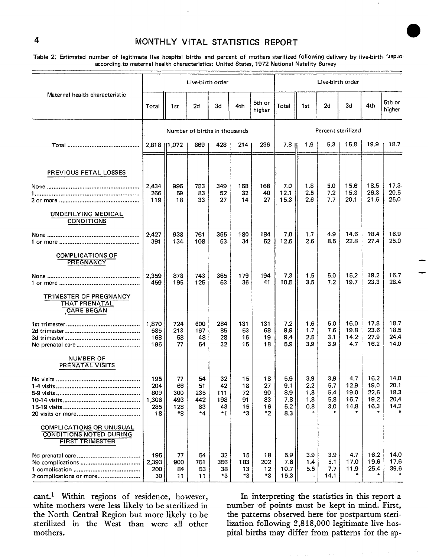# � **4 MONTHLY VITAL STATISTICS REPORT**

**Tabla 2. Estimated number of legitimate live hospital births and percent of mothers sterilized following delivery by live-birth 'JaPJo according to maternal health characteristics: United States, 1972 National Natality Survey** 

|                                                                                      |                                         |                                     | Live-birth order                   |                                    |                                    |                                  |                                        |                                            | Live-birth order                     |                                          |                                      |                                      |
|--------------------------------------------------------------------------------------|-----------------------------------------|-------------------------------------|------------------------------------|------------------------------------|------------------------------------|----------------------------------|----------------------------------------|--------------------------------------------|--------------------------------------|------------------------------------------|--------------------------------------|--------------------------------------|
| Maternal health characteristic                                                       | Total                                   | 1st                                 | 2d                                 | 3d                                 | 4th                                | 5th or<br>higher                 | Total                                  | 1st                                        | 2d                                   | 3d                                       | 4th                                  | 5th or<br>higher                     |
|                                                                                      |                                         |                                     | Number of births in thousands      |                                    |                                    |                                  |                                        |                                            |                                      | Percent sterilized                       |                                      |                                      |
|                                                                                      |                                         | 2,818   1,072                       | 869                                | 428                                | 214                                | 236                              | 7.8 11                                 | 1,9                                        | 5.3                                  | 15.8                                     | 19.9                                 | 18.7                                 |
| PREVIOUS FETAL LOSSES                                                                |                                         |                                     |                                    |                                    |                                    |                                  |                                        |                                            |                                      |                                          |                                      |                                      |
|                                                                                      | 2,434<br>266<br>119                     | 995<br>59<br>18                     | 753<br>83<br>33                    | 349<br>52<br>27                    | 168<br>32<br>14                    | 168<br>40<br>27                  | 7.0<br>12.1<br>15.3                    | 1.8<br>2.5<br>2.6                          | 5.0<br>7.2<br>7.7                    | 15.6<br>15.3<br>20.1                     | 18.5<br>26.3<br>21.5                 | 17.3<br>20.5<br>25.0                 |
| UNDERLYING MEDICAL<br>CONDITIONS                                                     |                                         |                                     |                                    |                                    |                                    |                                  |                                        |                                            |                                      |                                          |                                      |                                      |
|                                                                                      | 2,427<br>391                            | 938<br>134                          | 761<br>108                         | 365<br>63.                         | 180<br>34                          | 184<br>52                        | 7.0<br>12.6                            | 1,7<br>2.6                                 | 4.9<br>8.5                           | 14.6<br>22.8                             | 18.4<br>27.4                         | 16.9<br>25.0                         |
| <b>COMPLICATIONS OF</b><br><b>PREGNANCY</b>                                          |                                         |                                     |                                    |                                    |                                    |                                  |                                        |                                            |                                      |                                          |                                      |                                      |
|                                                                                      | 2,359<br>459                            | 878<br>195                          | 743<br>125                         | 365<br>63                          | 179<br>36                          | 194<br>41                        | 7.3<br>10.5                            | 1.5<br>3.5                                 | 5,0<br>7.2                           | 15.2<br>19.7                             | 19.2<br>23.3                         | 16.7<br>28.4                         |
| TRIMESTER OF PREGNANCY<br><b>THAT PRENATAL</b><br><b>CARE BEGAN</b>                  |                                         |                                     |                                    |                                    |                                    |                                  |                                        |                                            |                                      |                                          |                                      |                                      |
|                                                                                      | 1,870<br>585<br>168<br>195              | 724<br>213<br>58<br>77              | 600<br>167<br>48<br>54             | 284<br>85<br>28<br>32              | 131<br>53<br>16<br>15              | 131<br>68<br>19<br>18            | 7.2<br>9.9<br>9.4<br>5.9               | 1.6<br>1.7<br>2.5<br>3.9                   | 5.0<br>7.6<br>3.1<br>3.9             | 16.0<br>19.8<br>14.2 <sup>°</sup><br>4.7 | 17.8<br>23.6<br>27.9<br>16.2         | 18.7<br>18.5<br>24,4<br>14.0         |
| <b>NUMBER OF</b><br>PRENATAL VISITS                                                  |                                         |                                     |                                    |                                    |                                    |                                  |                                        |                                            |                                      |                                          |                                      |                                      |
|                                                                                      | 195<br>204<br>809<br>1,306<br>285<br>18 | 77<br>66<br>300<br>493<br>128<br>*8 | 54<br>51<br>235<br>442<br>83<br>*4 | 32<br>42<br>111<br>198<br>43<br>*1 | 15<br>18<br>72<br>91<br>15<br>$*3$ | 18<br>27<br>90<br>83<br>16<br>*2 | 5.9<br>9.1<br>8.9<br>7.8<br>5.2<br>8.3 | 3.9<br>2,2<br>1.8<br>1.8<br>0.8<br>$\star$ | 3.9<br>5.7<br>5.4<br>5.8<br>3.0<br>₩ | 4.7<br>12.9<br>19.0<br>16.7<br>14.8      | 16.2<br>19.0<br>22.6<br>19.2<br>16.3 | 14.0<br>20.1<br>18,3<br>20,4<br>14.2 |
| COMPLICATIONS OR UNUSUAL<br><b>CONDITIONS NOTED DURING</b><br><b>FIRST TRIMESTER</b> |                                         |                                     |                                    |                                    |                                    |                                  |                                        |                                            |                                      |                                          |                                      |                                      |
|                                                                                      | 195<br>2,393<br>200<br>30               | 77<br>900<br>84<br>11               | 54<br>751<br>53<br>11              | 32<br>356<br>38<br>*3              | 15<br>183<br>13<br>*3              | 18<br>202<br>12<br>*3            | 5.9<br>7.6<br>10.7<br>15.3             | 3.9<br>1.4<br>5.5                          | 3.9<br>5.1<br>7.7<br>14.1            | 4.7<br>17.0<br>11.9                      | 16.2<br>19.6<br>25.4                 | 14.0<br>17.6<br>39.6                 |

cant.<sup>1</sup> Within regions of residence, however, In interpreting the statistics in this report a white mothers were less likely to be sterilized in number of points must be kept in mind. First the North Central Region but more likely to be the patterns observed here for postpartum steri-<br>sterilized in the West than were all other lization following 2,818,000 legitimate live hossterilized in the West than were all other lization following 2,818,000 legitimate live hos-<br>mothers.

pital births may differ from patterns for the ap-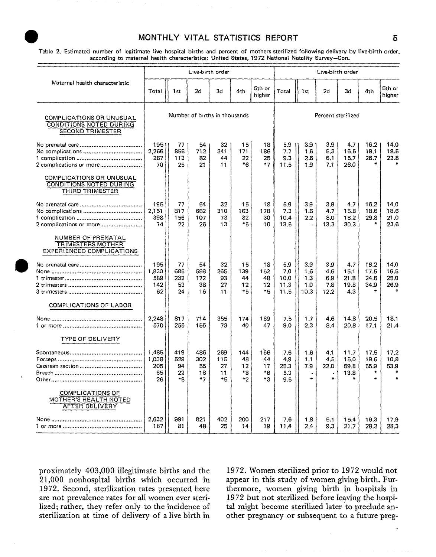### MONTHLY VITAL STATISTICS REPORT 5

**Table 2. Estimated number of legitimate live hospital births and percent of mothers sterilized following delivery by Iive-birth order,**  according to maternal health characteristics: United States, 1972 National Natality Survey-Con.

|                                                                                    |                                   |                              | Live birth order              |                              |                               |                                 |                                    |                                  | Live-birth order                 |                                    |                              |                              |
|------------------------------------------------------------------------------------|-----------------------------------|------------------------------|-------------------------------|------------------------------|-------------------------------|---------------------------------|------------------------------------|----------------------------------|----------------------------------|------------------------------------|------------------------------|------------------------------|
| Maternal health characteristic                                                     | Total                             | 1st                          | 2d                            | 3d                           | 4th                           | 5th or<br>higher                | Total                              | 1 <sub>st</sub>                  | 2d                               | 3d                                 | 4th                          | 5th or<br>higher             |
| COMPLICATIONS OR UNUSUAL<br>CONDITIONS NOTED DURING<br><b>SECOND TRIMESTER</b>     |                                   |                              | Number of births in thousands |                              |                               |                                 |                                    |                                  | Percent sterilized               |                                    |                              |                              |
| 2 complications or more                                                            | 1951<br>2,266<br>287<br>70        | 77<br>856<br>113<br>25       | 54<br>712<br>82<br>21         | 32<br>341<br>44<br>11        | 15<br>171<br>22<br>*6         | 18<br>186<br>25<br>$*7$         | 5.9<br>7.7<br>9.3<br>11.5          | 3.9<br>1.6<br>2.6<br>1.9         | 3.9<br>5.3<br>6.1<br>7.1         | 4.7<br>16.5<br>15.7<br>26.0        | 16.2<br>19.1<br>26.7         | 14.0<br>18.5<br>22.8         |
| COMPLICATIONS OR UNUSUAL<br>CONDITIONS NOTED DURING<br>THIRD TRIMESTER             |                                   |                              |                               |                              |                               |                                 |                                    |                                  |                                  |                                    |                              |                              |
| 2 complications or more                                                            | 195<br>2,151<br>398<br>74         | 77<br>817<br>156<br>22       | 54<br>682<br>107<br>26        | 32<br>310<br>73<br>13        | 15<br>163<br>32<br>$*5$       | 18<br>178<br>30<br>10           | 5.9<br>7.3<br>10.4<br>13.5         | 39<br>1.6<br>2.2                 | 3.9<br>4.7<br>8.0<br>13.3        | 4.7<br>15.8<br>18.2<br>30.3        | 16.2<br>18.6<br>29.8         | 14.0<br>18.6<br>21.0<br>23.6 |
| NUMBER OF PRENATAL<br><b>TRIMESTERS MOTHER</b><br><b>EXPERIENCED COMPLICATIONS</b> |                                   |                              |                               |                              |                               |                                 |                                    |                                  |                                  |                                    |                              |                              |
|                                                                                    | 195<br>1,830<br>589<br>142<br>62  | 77<br>685<br>232<br>53<br>24 | 54<br>588<br>172<br>38<br>16  | 32<br>265<br>93<br>27<br>11  | 15<br>139<br>44<br>12<br>*5   | 18<br>152<br>48<br>12<br>$*5$   | 5.9<br>7.0<br>10.0<br>11.3<br>11.5 | 3.9<br>1.6<br>1.3<br>1.0<br>10.3 | 3.9<br>4.6<br>6.9<br>7.8<br>12.2 | 4.7<br>15.1<br>21.8<br>19.8<br>4.3 | 16.2<br>17.5<br>24.6<br>34.9 | 140<br>16.5<br>25.0<br>26.9  |
| COMPLICATIONS OF LABOR                                                             |                                   |                              |                               |                              |                               |                                 |                                    |                                  |                                  |                                    |                              |                              |
|                                                                                    | 2.248<br>570                      | 817<br>256                   | 714<br>155                    | 355<br>73                    | 174<br>40                     | 189<br>47                       | 7.5<br>9.0                         | 1.7<br>2.3                       | 4.6<br>8.4                       | 14.8<br>20.8                       | 20.5<br>17.1                 | 18.1<br>21.4                 |
| TYPE OF DELIVERY                                                                   |                                   |                              |                               |                              |                               |                                 |                                    |                                  |                                  |                                    |                              |                              |
|                                                                                    | 1,485<br>1,038<br>205<br>65<br>26 | 419<br>529<br>94<br>22<br>*8 | 486<br>302<br>55<br>18<br>*7  | 269<br>115<br>27<br>11<br>*5 | 144<br>48<br>12<br>*8<br>$*2$ | 166<br>44<br>17<br>$*6$<br>$*3$ | 7.6<br>4.9<br>25.3<br>5.3<br>9.5   | 1.6<br>1.1<br>7.9<br>$\ast$      | 4.1<br>4.5<br>22.0               | 11.7<br>15.0<br>59.8<br>13.8       | 17.5<br>19.6<br>55.9         | 17.2<br>10.8<br>53.9         |
| COMPLICATIONS OF<br>MOTHER'S HEALTH NOTED<br>AFTER DELIVERY                        |                                   |                              |                               |                              |                               |                                 |                                    |                                  |                                  |                                    |                              |                              |
|                                                                                    | 2.632<br>187                      | 991<br>81                    | 821<br>48                     | 402<br>25                    | 200<br>14                     | 217<br>19                       | 7.6<br>11.4                        | 1.8<br>2.4                       | 5.1<br>9.3                       | 15.4<br>21.7                       | 19.3<br>28.2                 | 17.9<br>28.3                 |

 $21,000$  nonhospital births which occurred in appear in this study of women giving birth. Fur-<br>1972. Second, sterilization rates presented here thermore, women giving birth in hospitals in are not prevalence rates for all women ever steri-<br>lized but not sterilized before leaving the hospi-<br>lized; rather, they refer only to the incidence of tal might become sterilized later to preclude anlized; rather, they refer only to the incidence of sterilization at time of delivery of a live birth in

**proximately** 403,000 illegitimate births and the 1972. Women sterilized prior to 1972 would not thermore, women giving birth in hospitals in 1972 but not sterilized before leaving the hospiother pregnancy or subsequent to a future preg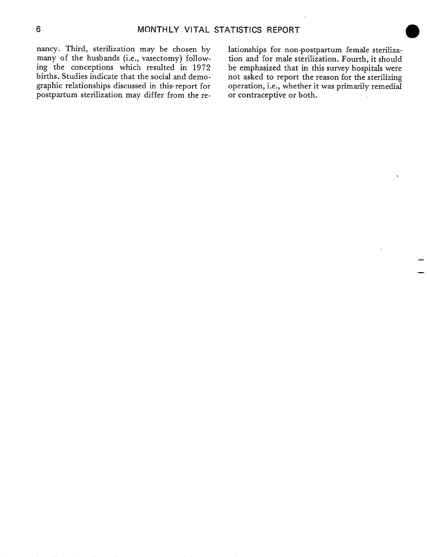nancy. Third, sterilization may be chosen by lationships for non-postpartum female steriliza-<br>many of the husbands (i.e., vasectomy) follow- tion and for male sterilization. Fourth, it should ing the conceptions which resulted in 1972 be emphasized that in this survey hospitals were births. Studies indicate that the social and demo-<br>graphic relationships discussed in this report for operation, i.e., whether it was primarily remedial graphic relationships discussed in this report for postpartum sterilization may differ from the re- or contraceptive or both.

tion and for male sterilization. Fourth, it should

— —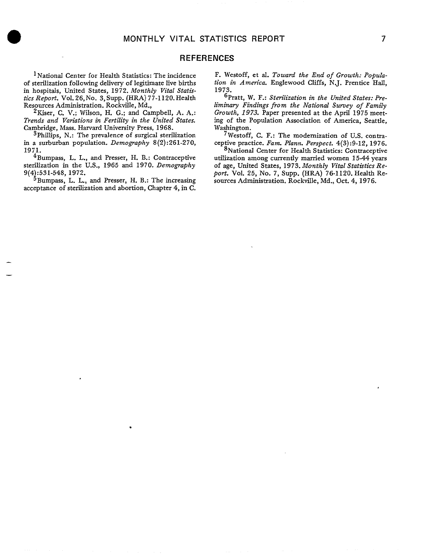#### **REFERENCES**

<sup>1</sup> National Center for Health Statistics: The incidence of sterilization following delivery of legitimate live births in hospitals, United States, 1972. Monthly *Vital Statistics Report.* Vol. *26, N0. 3,* Supp. (HRA) 77-1120. Health Resources Administration. Rockville, Md.,

*2Kiser, C.* V.; Wilson, H. G.; and CampbelI, A. A.: *Trends and Variations in Fertility in the United States.*  Cambridge, Mass. Harvard University Press, 1968.

3Phillips, N.: The prevalence of surgical sterilization in a surburban population. *Demography 8(2) :261-270, 1971.* 

 $4$ Bumpass, L. L., and Presser, H. B.: Contraceptive sterilization in the U.S., 1965 and 1970. *Demography 9(4 :531-548, 1972.* 

<sup>5</sup> Bumpass, L. L., and Presser, H. B.: The increasing acceptance of sterilization and abortion, Chapter 4, in C.

,

— —

F. Westoff, et al. Toward the End of Growth: Popula*tion in A nwrica.* Englewood Cliffs, N.J. Prentice HalI, 1973.

<sup>6</sup>Pratt, W. F.: Sterilization in the United States: Preliminary *Findings fro m the National Survey of Family Growth, 1973.* Paper presented at the April 1975 meeting of the Population Association of America, Seattle, Washington.

7Westoff, C. F.: The modernization of U.S. contraceptive practice. *Fare. Plann. Perspect. 4(3):9-12, 1976.* 

'National Center for Health Statistics: Contraceptive utilization among currently married women 15-44 *years*  of age, United States, 1973. Monthly Vital Statistics Re*port.* Vol. *25, No. 7,* SUpp. (HRA) 76-1120. Health Resources Administration. Rockville, Md., Oct. 4, 1976.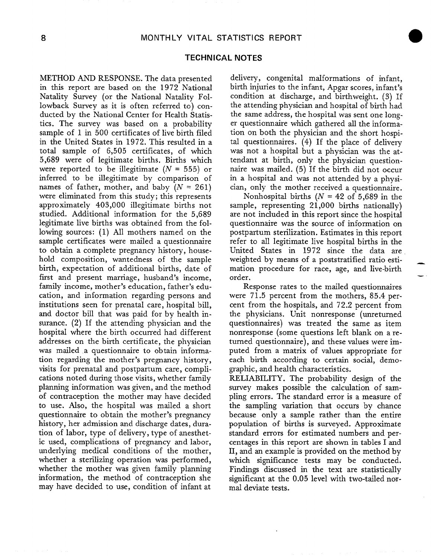#### **TECHNICAL NOTES**

in this report are based on the 1972 National birth injuries to the infant, Apgar scores, infant's Natality Survey (or the National Natality Fol- condition at discharge, and birthweight. (3) If Iowback Survey as it is often referred to) con- the attending physician and hospital of birth had ducted by the National Center for Health Statis- the same address, the hospital was sent one longtics. The survey was based on a probability er questionnaire which gathered all the informasample of 1 in 500 certificates of live birth filed tion on both the physician and the short hospiin the United States in 1972, This resulted in a tal questionnaires. (4) If the place of delivery total sample of 6,505 certificates, of which was not a hospital but a physician was the at-5,689 were of legitimate births. Births which tendant at birth, only the physician questionwere reported to be illegitimate ( $N = 555$ ) or naire was mailed. (5) If the birth did not occur inferred to be illegitimate by comparison of in a hospital and was not attended by a physinames of father, mother, and baby  $(N = 261)$  cian, only the mother received a questionnaire. were eliminated from this study; this represents Nonhospital births  $(N = 42 \text{ of } 5,689 \text{ in the})$ approximately 403,000 illegitimate births not sample, representing 21,000 births nationally) studied. Additional information for the 5,689 are not included in this report since the hospital legitimate live births was obtained from the fol- questionnaire was the source of information on lowing sources: (1) All mothers named on the postpartum sterilization, Estimates in this report sample certificates were mailed a questionnaire refer to all legitimate live hospital births in the to obtain a complete pregnancy history, house- United States in 1972 since the data are hold composition, wantedness of the sample weighted by means of a poststratified ratio estibirth, expectation of additional births, date of mation procedure for race, age, and live-birth first and present marriage, husband's income, order. family income, mother's education, father's edu- Response rates to the mailed questionnaires cation, and information regarding persons and were 71.5 percent from the mothers, 85.4 perinstitutions seen for prenatal care, hospital bill, cent from the hospitals, and 72.2 percent from and doctor bill that was paid for by health in- the physicians. Unit nonresponse (unreturned surance. (2) If the attending physician and the questionnaires) was treated the same as item hospital where the birth occurred had different nonresponse (some questions left blank on a readdresses on the birth certificate, the physician turned questionnaire), and these values were imwas mailed a questionnaire to obtain informa- puted from a matrix of values appropriate for tion regarding the mother's pregnancy history, each birth according to certain social, demovisits for prenatal and postpartum care, compli- graphic, and health characteristics. cations noted during those visits, whether family RELIABILITY. The probability design of the planning information was given, and the method survey makes possible the calculation of samof contraception the mother may have decided pling errors. The standard error is a measure of to use. Also, the hospital was mailed a short the sampling variation that occurs by chance questionnaire to obtain the mother's pregnancy because only a sample rather than the entire history, her admission and discharge dates, dura- population of births is surveyed. Approximate tion of labor, type of delivery, type of anesthet- standard errors for estimated numbers and peric used, complications of pregnancy and labor, centages in this report are shown in tables I and underlying medical conditions of the mother, II, and an example is provided on the method by whether a sterilizing operation was performed, which significance tests may be conducted. whether the mother was given family planning Findings discussed in the text are statistically information, the method of contraception she significant at the 0.05 level with two-tailed normay have decided to use, condition of infant at mal deviate tests.

METHOD AND RESPONSE. The data presented delivery, congenital malformations of infant,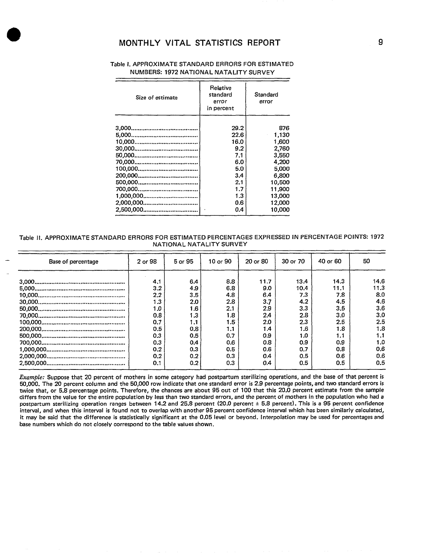## **MONTHLY VITAL STATISTICS REPORT 9 9**

| Table 1. APPROXIMATE STANDARD ERRORS FOR ESTIMATED |
|----------------------------------------------------|
| NUMBERS: 1972 NATIONAL NATALITY SURVEY             |

| Size of estimate | Relative<br>standard<br>error<br>in percent | Standard<br>error |  |  |
|------------------|---------------------------------------------|-------------------|--|--|
|                  | 29.2                                        | 876               |  |  |
|                  | 22.6                                        | 1.130             |  |  |
|                  | 16.0                                        | 1.600             |  |  |
|                  | 9.2                                         | 2,760             |  |  |
|                  | 7.1                                         | 3.550             |  |  |
|                  | 6.0                                         | 4,200             |  |  |
|                  | 5.0                                         | 5,000             |  |  |
|                  | 3.4                                         | 6.800             |  |  |
|                  | 2.1                                         | 10,500            |  |  |
|                  | 1.7                                         | 11.900            |  |  |
|                  | 1.3                                         | 13,000            |  |  |
|                  | 0.6                                         | 12,000            |  |  |
|                  | 0.4                                         | 10.000            |  |  |

#### **Table Il. APPROXIMATE STANDARD ERRORS FOR ESTIMATED PERCENTAGES EXPRESSED IN PERCENTAGE POINTS: 1972 NATIONAL NATALITY SURVEY**

| Base of percentage | 2 or 98 | 5 or 95 | $10$ or $90$ | 20 or 80 | 30 or 70 | 40 or 60 | 50   |
|--------------------|---------|---------|--------------|----------|----------|----------|------|
|                    | 4.1     | 6.4     | 8.8          | 11.7     | 13.4     | 14.3     | 14.6 |
|                    | 3.2     | 4.9     | 6.8          | 9.0      | 10.4     | 11.1     | 11.3 |
|                    | 2.2     | 3.5     | 4.8          | 6.4      | 7.3      | 7.8      | 8.0  |
|                    | 1.3     | 2.0     | 2.8          | 3.7      | 4.2      | 4.5      | 4.6  |
|                    | 1.0     | 1.6     | 2.1          | 2.9      | 3.3      | 3.5      | 3.6  |
|                    | 0.8     | 1.3     | 1.8          | 2.4      | 2.8      | 3.0      | 3.0  |
|                    | 0.7     | 1.1     | 1.5          | 2.0      | 2.3      | 2.5      | 2.5  |
|                    | 0.5     | 0.8     | 1.1          | 1.4      | 1.6      | 1.8      | 1.8  |
|                    | 0.3     | 0.5     | 0.7          | 0.9      | 1.0      | 1.1      | 1.1  |
|                    | 0.3     | 0.4     | 0.6          | 0.8      | 0.9      | 0.9      | 1.0  |
|                    | 0.2     | 0.3     | 0.5          | 0.6      | 0.7      | 0.8      | 0.6  |
|                    | 0.2     | 0.2     | 0.3          | 0.4      | 0.5      | 0.6      | 0.6  |
|                    | 0.1     | 0.2     | 0.3          | 0.4      | 0.5      | 0.5      | 0.5  |
|                    |         |         |              |          |          |          |      |

Example: Suppose that 20 percent of mothers in some category had postpartum sterilizing operations, and the base of that percent is **50.000. The 20 oercent column and the 50,000 row indicate that one standard error is 2.9 percentage points, and two standard errors is tw;ce that, or 5;8 percentage points. Therefore, the chances are about 95 out of 100 that "this 20.0 percent estimate from the sample differs from the value for the entire population by lessthan two standard errors, and the percent of mothers in the population who had a postpartum sterilizing operation ranges between 14.2 and 25.8 percent (20.0 percent + 5,8 percent). This is a 95 percent confidence interval, and when this interval is found not to overlap with another 95 percent confidence interval which has been similarly calculated, it may be said that the difference is statistically significant at the 0.05 level or beyond. Interpolation may be used for percentages and base numbers which do not closely correspond to the table values shown.**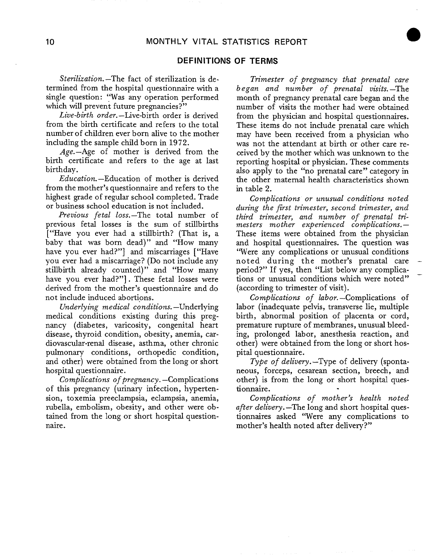### **DEFINITIONS OF TERMS**

*Sterilization.* –The fact of sterilization is determined from the hospital questionnaire with a single question: "Was any operation performed which will prevent future pregnancies?"

*Live-birth order.* –Live-birth order is derived from the birth certificate and refers to the total number of children ever born alive to the mother including the sample child born in 1972.

Age.—Age of mother is derived from the birth certificate and refers to the age at last birthday.

*Education.* –Education of mother is derived from the mother's questionnaire and refers to the highest grade of regular school completed. Trade or business school education is not included.

*Previous fetal loss.* –The total number of previous fetal losses is the sum of stillbirths ["Have you ever had a stillbirth? (That is, a baby that was born dead)" and "How many have you ever had?"] and miscarriages ["Have you ever had a miscarriage? (Do not include any stillbirth already counted)" and "How many have you ever had?"]. These fetal losses were derived from the mother's questionnaire and do not include induced abortions.

*Underlyin~ medical conditions.* –Underlying medical conditions existing during this pregnancy (diabetes, varicosity, congenital heart disease, thyroid condition, obesity, anemia, cardiovascular-renal disease, asthma, other chronic pulmonary conditions, orthopedic condition, and other) were obtained from the long or short hospital questionnaire.

*Complications of pregnancy.* –Complications of this pregnancy (urinary infection, hypertension, toxemia preeclampsia, eclarnpsia, anemia, rubella, embolism, obesity, and other were obtained from the long or short hospital questionnaire.

*Trimester of* pregnancy *that* prenatal care *began and number of prenatal visits.* —The month of pregnancy prenatal care began and the number of visits the mother had were obtained from the physician and hospital questionnaires. These items do not include prenatal care which may have been received from a physician who was not the attendant at birth or other care received by the mother which was unknown to the reporting hospital or physician. These comments also apply to the "no prenatal care" category in the other maternal health characteristics shown in table 2.

*Complications or unusual conditions noted*  during the first *trimester, second trimester, and third trimester, and* number of *prenatal trimesters mother experienced complications. —*  These items were obtained from the physician and hospital questionnaires. The question was 'Were any complications or unusual conditions noted during the mother's prenatal care – period?" If yes, then "List below any complications or unusual conditions which were noted" – (according to trimester of visit).

*Complications of labor.* –Complications of labor (inadequate pelvis, transverse lie, multiple birth, abnormal position of placenta or cord, premature rupture of membranes, unusual bleeding, prolonged labor, anesthesia reaction, and other) were obtained from the long or short hospital questionnaire.

*Type of delivery.* –Type of delivery (spontaneous, forceps, cesarean section, breech, and other) is from the long or short hospital questionnaire. .

Complications of mother's health noted *after delivery.* —The long and short hospital questionnaires asked "Were any complications to mother's health noted after delivery?"